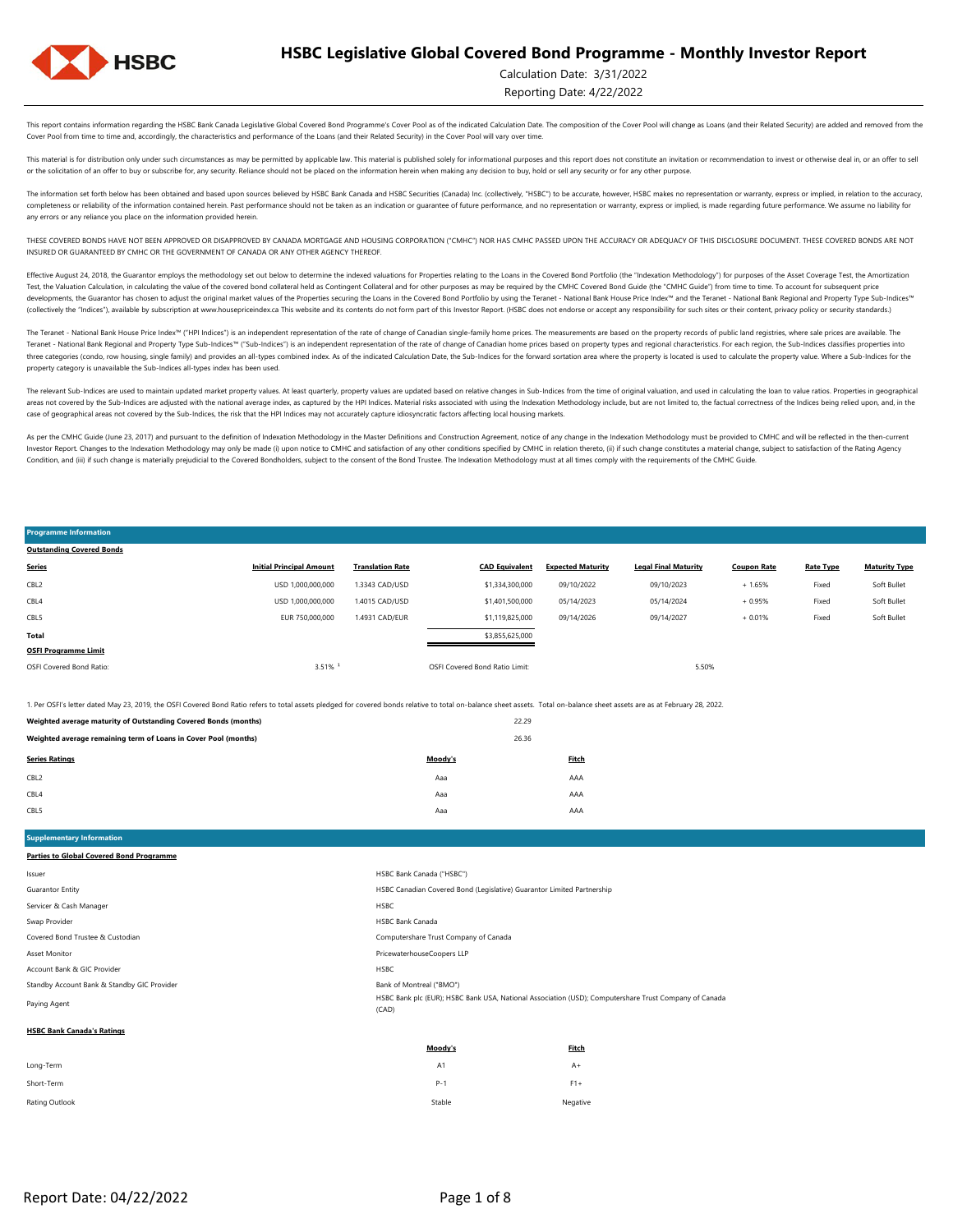

### Calculation Date: 3/31/2022

Reporting Date: 4/22/2022

This report contains information regarding the HSBC Bank Canada Legislative Global Covered Bond Programme's Cover Pool as of the indicated Calculation Date. The composition of the Cover Pool will change as Loans (and their Cover Pool from time to time and, accordingly, the characteristics and performance of the Loans (and their Related Security) in the Cover Pool will vary over time.

This material is for distribution only under such circumstances as may be permitted by applicable law. This material is published solely for informational purposes and this report does not constitute an invitation or recom or the solicitation of an offer to buy or subscribe for, any security. Reliance should not be placed on the information herein when making any decision to buy, hold or sell any security or for any other purpose.

The information set forth below has been obtained and based upon sources believed by HSBC Bank Canada and HSBC Securities (Canada) Inc. (collectively, "HSBC") to be accurate, however, HSBC makes no representation or warran completeness or reliability of the information contained herein. Past performance should not be taken as an indication or guarantee of future performance, and no representation or warranty, express or implied, is made rega any errors or any reliance you place on the information provided herein.

THESE COVERED BONDS HAVE NOT BEEN APPROVED OR DISAPPROVED BY CANADA MORTGAGE AND HOUSING CORPORATION ("CMHC") NOR HAS CMHC PASSED UPON THE ACCURACY OR ADEQUACY OF THIS DISCLOSURE DOCUMENT. THESE COVERED BONDS ARE NOT INSURED OR GUARANTEED BY CMHC OR THE GOVERNMENT OF CANADA OR ANY OTHER AGENCY THEREOF.

Effective August 24, 2018, the Guarantor employs the methodology set out below to determine the indexed valuations for Properties relating to the Loans in the Covered Bond Portfolio (the "Indexation Methodology") for purpo Test, the Valuation Calculation, in calculating the value of the covered bond collateral held as Contingent Collateral and for other purposes as may be required by the CMHC Covered Bond Guide (the "CMHC Guide") from time t developments, the Guarantor has chosen to adjust the original market values of the Properties securing the Loans in the Covered Bond Portfolio by using the Teranet - National Bank House Price Index<sup>nu</sup> and the Teranet - Na (collectively the "Indices"), available by subscription at www.housepriceindex.ca This website and its contents do not form part of this Investor Report. (HSBC does not endorse or accept any responsibility for such sites o

The Teranet - National Bank House Price Index<sup>na</sup> ("HPI Indices") is an independent representation of the rate of change of Canadian single-family home prices. The measurements are based on the property records of public l Teranet - National Bank Regional and Property Type Sub-Indices™ ("Sub-Indices") is an independent representation of the rate of change of Canadian home prices based on property types and regional characteristics. For each three categories (condo, row housing, single family) and provides an all-types combined index. As of the indicated Calculation Date, the Sub-Indices for the forward sortation area where the property is located is used to c property category is unavailable the Sub-Indices all-types index has been used.

The relevant Sub-Indices are used to maintain updated market property values. At least quarterly, property values are updated based on relative changes in Sub-Indices from the time of original valuation, and used in calcul areas not covered by the Sub-Indices are adjusted with the national average index, as captured by the HPI Indices. Material risks associated with using the Indivation Methodology include, but are not limited to, the factua case of geographical areas not covered by the Sub-Indices, the risk that the HPI Indices may not accurately capture idiosyncratic factors affecting local housing markets.

As per the CMHC Guide (June 23, 2017) and pursuant to the definition of Indexation Methodology in the Master Definitions and Construction Agreement, notice of any change in the Indexation Methodology must be provided to CM Investor Report. Changes to the Indexation Methodology may only be made (i) upon notice to CMHC and satisfaction of any other conditions specified by CMHC in relation thereto, (ii) if such change constitutes a material cha Condition, and (iii) if such change is materially prejudicial to the Covered Bondholders, subject to the consent of the Bond Trustee. The Indexation Methodology must at all times comply with the requirements of the CMHC Gu

#### 1. Per OSFI's letter dated May 23, 2019, the OSFI Covered Bond Ratio refers to total assets pledged for covered bonds relative to total on-balance sheet assets. Total on-balance sheet assets are as at February 28, 2022. OSFI Covered Bond Ratio: 3.51% ¹ OSFI Covered Bond Ratio Limit: 5.50% **OSFI Programme Limit** Soft Bullet **Total** \$3,855,625,000 Fixed Soft Bullet CBL5 EUR 750,000,000 1.4931 CAD/EUR \$1,119,825,000 09/14/2026 09/14/2027 + 0.01% Fixed + 1.65% Fixed Soft Bullet CBL4 USD 1,000,000,000 1.4015 CAD/USD \$1,401,500,000 05/14/2023 05/14/2024 + 0.95% CBL2 USD 1,000,000,000 1.3343 CAD/USD \$1,334,300,000 09/10/2022 09/10/2023 **Series Initial Principal Amount Translation Rate CAD Equivalent Expected Maturity Legal Final Maturity Coupon Rate Rate Type Maturity Type Outstanding Covered Bonds**

|                                                                 |         | ------ |  |
|-----------------------------------------------------------------|---------|--------|--|
| Weighted average remaining term of Loans in Cover Pool (months) |         | 26.36  |  |
| <b>Series Ratings</b>                                           | Moody's | Fitch  |  |
| CBL <sub>2</sub>                                                | Aaa     | AAA    |  |
| CBL4                                                            | Aaa     | AAA    |  |
| CBL5                                                            | Aaa     | AAA    |  |

**Weighted average maturity of Outstanding Covered Bonds (months)** 22.29

**Supplementary Information Parties to Global Covered Bond Programme**

**Programme Information**

|                                             | <b>BALLARD</b><br><b>Plant</b>                                                                                 |
|---------------------------------------------|----------------------------------------------------------------------------------------------------------------|
| <b>HSBC Bank Canada's Ratings</b>           |                                                                                                                |
| Paying Agent                                | HSBC Bank plc (EUR); HSBC Bank USA, National Association (USD); Computershare Trust Company of Canada<br>(CAD) |
| Standby Account Bank & Standby GIC Provider | Bank of Montreal ("BMO")                                                                                       |
| Account Bank & GIC Provider                 | <b>HSBC</b>                                                                                                    |
| Asset Monitor                               | PricewaterhouseCoopers LLP                                                                                     |
| Covered Bond Trustee & Custodian            | Computershare Trust Company of Canada                                                                          |
| Swap Provider                               | <b>HSBC Bank Canada</b>                                                                                        |
| Servicer & Cash Manager                     | <b>HSBC</b>                                                                                                    |
| Guarantor Entity                            | HSBC Canadian Covered Bond (Legislative) Guarantor Limited Partnership                                         |
| Issuer                                      | HSBC Bank Canada ("HSBC")                                                                                      |
|                                             |                                                                                                                |

|                | Moody's | <b>Fitch</b> |
|----------------|---------|--------------|
| Long-Term      | A1      | $A+$         |
| Short-Term     | $P-1$   | $F1+$        |
| Rating Outlook | Stable  | Negative     |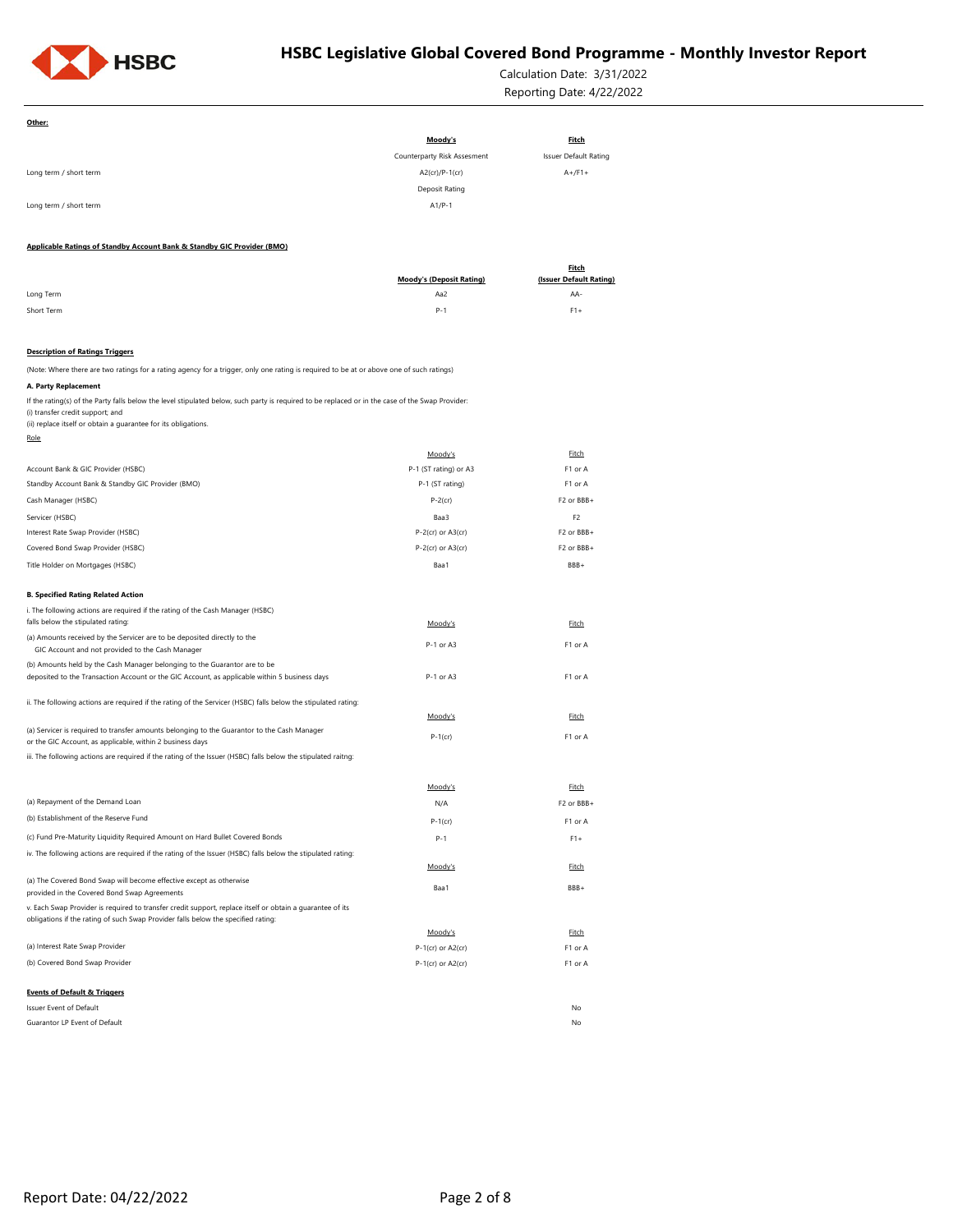

Calculation Date: 3/31/2022 Reporting Date: 4/22/2022

| Other:                                                                                                                                                                                                                                                 |                                 |                                         |
|--------------------------------------------------------------------------------------------------------------------------------------------------------------------------------------------------------------------------------------------------------|---------------------------------|-----------------------------------------|
|                                                                                                                                                                                                                                                        | Moody's                         | <b>Fitch</b>                            |
|                                                                                                                                                                                                                                                        | Counterparty Risk Assesment     | Issuer Default Rating                   |
| Long term / short term                                                                                                                                                                                                                                 | A2(cr)/P-1(cr)                  | $A+$ /F1+                               |
|                                                                                                                                                                                                                                                        | Deposit Rating                  |                                         |
| Long term / short term                                                                                                                                                                                                                                 | $A1/P-1$                        |                                         |
|                                                                                                                                                                                                                                                        |                                 |                                         |
| Applicable Ratings of Standby Account Bank & Standby GIC Provider (BMO)                                                                                                                                                                                |                                 |                                         |
|                                                                                                                                                                                                                                                        | <b>Moody's (Deposit Rating)</b> | <b>Fitch</b><br>(Issuer Default Rating) |
| Long Term                                                                                                                                                                                                                                              | Aa2                             | AA-                                     |
| Short Term                                                                                                                                                                                                                                             | $P - 1$                         | $F1+$                                   |
|                                                                                                                                                                                                                                                        |                                 |                                         |
| <b>Description of Ratings Triggers</b>                                                                                                                                                                                                                 |                                 |                                         |
| (Note: Where there are two ratings for a rating agency for a trigger, only one rating is required to be at or above one of such ratings)                                                                                                               |                                 |                                         |
| A. Party Replacement                                                                                                                                                                                                                                   |                                 |                                         |
| If the rating(s) of the Party falls below the level stipulated below, such party is required to be replaced or in the case of the Swap Provider:<br>(i) transfer credit support; and<br>(ii) replace itself or obtain a quarantee for its obligations. |                                 |                                         |
| Role                                                                                                                                                                                                                                                   |                                 |                                         |
|                                                                                                                                                                                                                                                        | Moody's                         | Fitch                                   |
| Account Bank & GIC Provider (HSBC)                                                                                                                                                                                                                     | P-1 (ST rating) or A3           | F1 or A                                 |
| Standby Account Bank & Standby GIC Provider (BMO)                                                                                                                                                                                                      | P-1 (ST rating)                 | F1 or A                                 |
| Cash Manager (HSBC)                                                                                                                                                                                                                                    | $P-2$ (cr)                      | F2 or BBB+                              |
| Servicer (HSBC)                                                                                                                                                                                                                                        | Baa3                            | F <sub>2</sub>                          |
| Interest Rate Swap Provider (HSBC)                                                                                                                                                                                                                     | $P-2$ (cr) or $A3$ (cr)         | F2 or BBB+                              |
| Covered Bond Swap Provider (HSBC)                                                                                                                                                                                                                      | $P-2$ (cr) or $A3$ (cr)         | F2 or BBB+                              |
| Title Holder on Mortgages (HSBC)                                                                                                                                                                                                                       | Baa1                            | BBB+                                    |
| <b>B. Specified Rating Related Action</b>                                                                                                                                                                                                              |                                 |                                         |
| i. The following actions are required if the rating of the Cash Manager (HSBC)                                                                                                                                                                         |                                 |                                         |
| falls below the stipulated rating:                                                                                                                                                                                                                     | Moody's                         | Fitch                                   |
| (a) Amounts received by the Servicer are to be deposited directly to the                                                                                                                                                                               | P-1 or A3                       | F1 or A                                 |
| GIC Account and not provided to the Cash Manager                                                                                                                                                                                                       |                                 |                                         |
| (b) Amounts held by the Cash Manager belonging to the Guarantor are to be<br>deposited to the Transaction Account or the GIC Account, as applicable within 5 business days                                                                             | P-1 or A3                       | F1 or A                                 |
|                                                                                                                                                                                                                                                        |                                 |                                         |
| ii. The following actions are required if the rating of the Servicer (HSBC) falls below the stipulated rating:                                                                                                                                         |                                 |                                         |
|                                                                                                                                                                                                                                                        | Moody's                         | Fitch                                   |
| (a) Servicer is required to transfer amounts belonging to the Guarantor to the Cash Manager<br>or the GIC Account, as applicable, within 2 business days                                                                                               | $P-1$ (cr)                      | F1 or A                                 |
| iii. The following actions are required if the rating of the Issuer (HSBC) falls below the stipulated raitng:                                                                                                                                          |                                 |                                         |
|                                                                                                                                                                                                                                                        |                                 |                                         |
|                                                                                                                                                                                                                                                        | Moody's                         | Fitch                                   |
| (a) Repayment of the Demand Loan                                                                                                                                                                                                                       | N/A                             | F2 or BBB+                              |
| (b) Establishment of the Reserve Fund                                                                                                                                                                                                                  | P-1(cr)                         | F1 or A                                 |
| (c) Fund Pre-Maturity Liquidity Required Amount on Hard Bullet Covered Bonds                                                                                                                                                                           | $P - 1$                         | $F1+$                                   |
| iv. The following actions are required if the rating of the Issuer (HSBC) falls below the stipulated rating:                                                                                                                                           |                                 |                                         |
|                                                                                                                                                                                                                                                        | Moody's                         | Fitch                                   |
| (a) The Covered Bond Swap will become effective except as otherwise<br>provided in the Covered Bond Swap Agreements                                                                                                                                    | Baa1                            | BBB+                                    |
| v. Each Swap Provider is required to transfer credit support, replace itself or obtain a guarantee of its                                                                                                                                              |                                 |                                         |
| obligations if the rating of such Swap Provider falls below the specified rating:                                                                                                                                                                      |                                 |                                         |
|                                                                                                                                                                                                                                                        | Moody's                         | Fitch                                   |
| (a) Interest Rate Swap Provider<br>(b) Covered Bond Swap Provider                                                                                                                                                                                      | P-1(cr) or A2(cr)               | F1 or A                                 |
|                                                                                                                                                                                                                                                        | $P-1$ (cr) or $A2$ (cr)         | F1 or A                                 |
| <b>Events of Default &amp; Triggers</b>                                                                                                                                                                                                                |                                 |                                         |
| Issuer Event of Default                                                                                                                                                                                                                                |                                 | No                                      |
| Guarantor LP Event of Default                                                                                                                                                                                                                          |                                 | No                                      |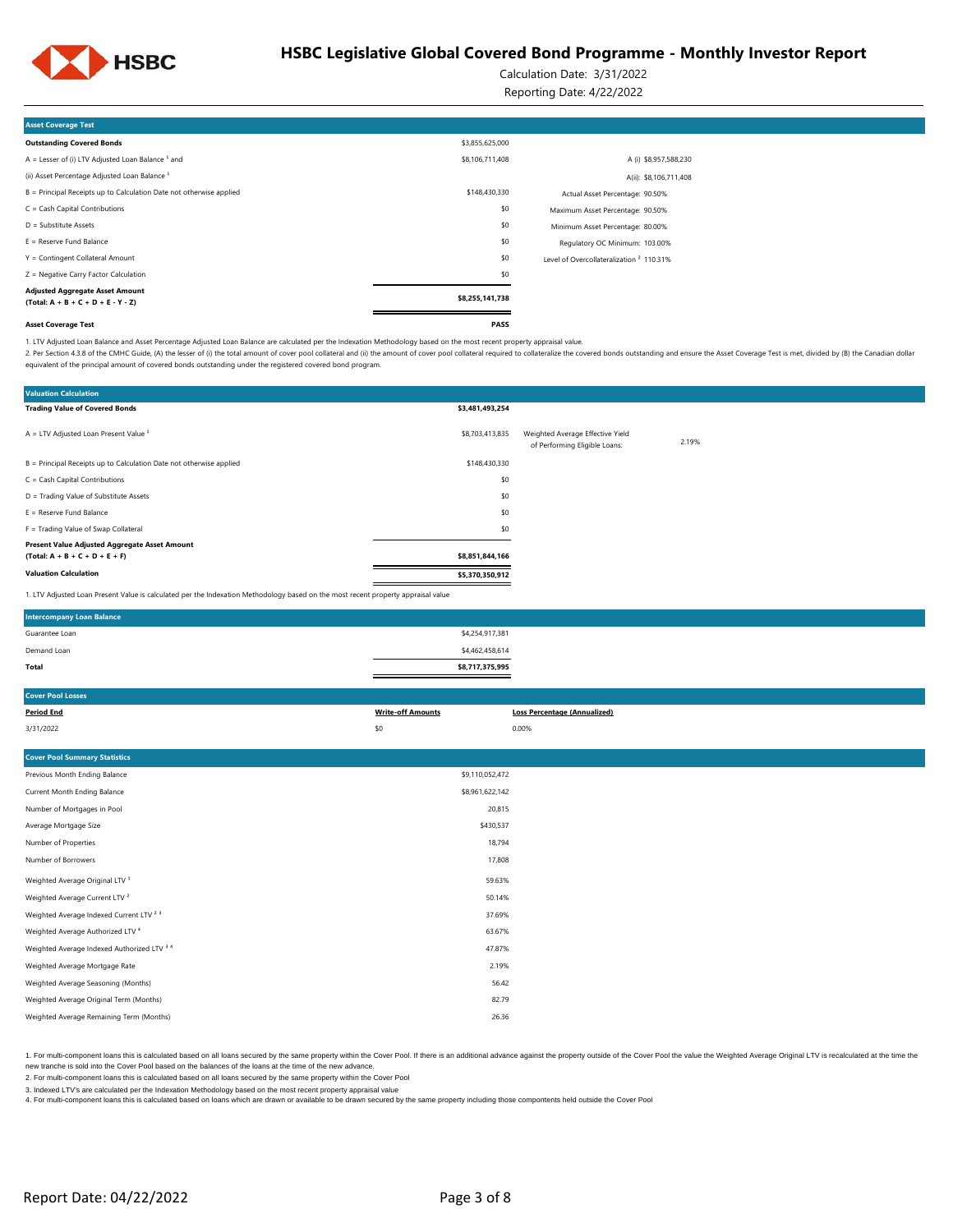

Calculation Date: 3/31/2022

Reporting Date: 4/22/2022

| <b>Asset Coverage Test</b>                                                     |                 |                                                     |  |
|--------------------------------------------------------------------------------|-----------------|-----------------------------------------------------|--|
| <b>Outstanding Covered Bonds</b>                                               | \$3,855,625,000 |                                                     |  |
| A = Lesser of (i) LTV Adjusted Loan Balance $1$ and                            | \$8,106,711,408 | A (i) \$8,957,588,230                               |  |
| (ii) Asset Percentage Adjusted Loan Balance <sup>1</sup>                       |                 | A(ii): \$8,106,711,408                              |  |
| B = Principal Receipts up to Calculation Date not otherwise applied            | \$148,430,330   | Actual Asset Percentage: 90.50%                     |  |
| $C = Cash Capital Contributions$                                               | \$0             | Maximum Asset Percentage: 90.50%                    |  |
| $D =$ Substitute Assets                                                        | \$0             | Minimum Asset Percentage: 80.00%                    |  |
| $E =$ Reserve Fund Balance                                                     | \$0             | Regulatory OC Minimum: 103.00%                      |  |
| Y = Contingent Collateral Amount                                               | \$0             | Level of Overcollateralization <sup>2</sup> 110.31% |  |
| Z = Negative Carry Factor Calculation                                          | \$0             |                                                     |  |
| <b>Adjusted Aggregate Asset Amount</b><br>$(Total: A + B + C + D + E - Y - Z)$ | \$8,255,141,738 |                                                     |  |
| <b>Asset Coverage Test</b>                                                     | PASS            |                                                     |  |

1. LTV Adjusted Loan Balance and Asset Percentage Adjusted Loan Balance are calculated per the Indexation Methodology based on the most recent property appraisal value.

2. Per Section 4.3.8 of the CMHC Guide, (A) the lesser of (i) the total amount of cover pool collateral and (ii) the amount of cover pool collateral required to collateral required to collateral required to collateralize t equivalent of the principal amount of covered bonds outstanding under the registered covered bond program.

| <b>Valuation Calculation</b>                                                                                                      |                 |                                                                   |       |
|-----------------------------------------------------------------------------------------------------------------------------------|-----------------|-------------------------------------------------------------------|-------|
| <b>Trading Value of Covered Bonds</b>                                                                                             | \$3,481,493,254 |                                                                   |       |
| $A = LTV$ Adjusted Loan Present Value $1$                                                                                         | \$8,703,413,835 | Weighted Average Effective Yield<br>of Performing Eligible Loans: | 2.19% |
| B = Principal Receipts up to Calculation Date not otherwise applied                                                               | \$148,430,330   |                                                                   |       |
| $C = Cash Capital Contributions$                                                                                                  | \$0             |                                                                   |       |
| D = Trading Value of Substitute Assets                                                                                            | \$0             |                                                                   |       |
| $E =$ Reserve Fund Balance                                                                                                        | \$0             |                                                                   |       |
| F = Trading Value of Swap Collateral                                                                                              | \$0             |                                                                   |       |
| Present Value Adjusted Aggregate Asset Amount                                                                                     |                 |                                                                   |       |
| $(Total: A + B + C + D + E + F)$                                                                                                  | \$8,851,844,166 |                                                                   |       |
| <b>Valuation Calculation</b>                                                                                                      | \$5,370,350,912 |                                                                   |       |
| 1. LTV Adjusted Loan Present Value is calculated per the Indexation Methodology based on the most recent property appraisal value |                 |                                                                   |       |

| <b>Intercompany Loan Balance</b> |                 |  |
|----------------------------------|-----------------|--|
| Guarantee Loan                   | \$4,254,917,381 |  |
| Demand Loan                      | \$4,462,458,614 |  |
| Total                            | \$8,717,375,995 |  |
|                                  |                 |  |

| <b>Cover Pool Losses</b>                           |                          |                                     |
|----------------------------------------------------|--------------------------|-------------------------------------|
| <b>Period End</b>                                  | <b>Write-off Amounts</b> | <b>Loss Percentage (Annualized)</b> |
| 3/31/2022                                          | \$0                      | 0.00%                               |
|                                                    |                          |                                     |
| <b>Cover Pool Summary Statistics</b>               |                          |                                     |
| Previous Month Ending Balance                      | \$9,110,052,472          |                                     |
| Current Month Ending Balance                       | \$8,961,622,142          |                                     |
| Number of Mortgages in Pool                        | 20,815                   |                                     |
| Average Mortgage Size                              | \$430,537                |                                     |
| Number of Properties                               | 18,794                   |                                     |
| Number of Borrowers                                | 17,808                   |                                     |
| Weighted Average Original LTV <sup>1</sup>         | 59.63%                   |                                     |
| Weighted Average Current LTV <sup>2</sup>          | 50.14%                   |                                     |
| Weighted Average Indexed Current LTV <sup>23</sup> | 37.69%                   |                                     |
| Weighted Average Authorized LTV <sup>4</sup>       | 63.67%                   |                                     |
| Weighted Average Indexed Authorized LTV 3 4        | 47.87%                   |                                     |
| Weighted Average Mortgage Rate                     | 2.19%                    |                                     |
| Weighted Average Seasoning (Months)                | 56.42                    |                                     |
| Weighted Average Original Term (Months)            | 82.79                    |                                     |
| Weighted Average Remaining Term (Months)           | 26.36                    |                                     |

1. For multi-component loans this is calculated based on all loans secured by the same property within the Cover Pool. If there is an additional advance against the property outside of the Cover Pool. If we leave the Ume t new tranche is sold into the Cover Pool based on the balances of the loans at the time of the new advance.

2. For multi-component loans this is calculated based on all loans secured by the same property within the Cover Pool

3. Indexed LTV's are calculated per the Indexation Methodology based on the most recent property appraisal value

4. For multi-component loans this is calculated based on loans which are drawn or available to be drawn secured by the same property including those compontents held outside the Cover Pool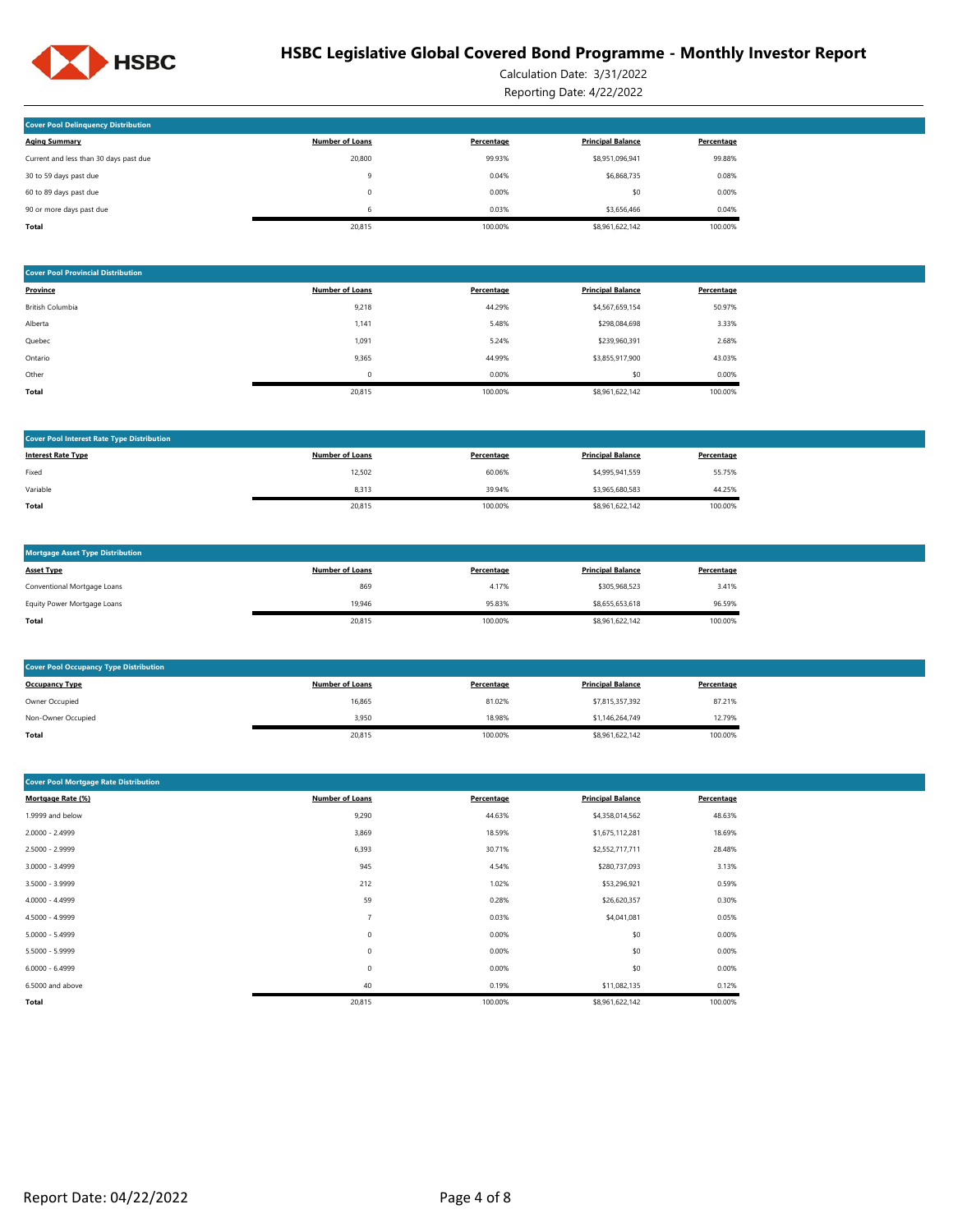

Calculation Date: 3/31/2022 Reporting Date: 4/22/2022

| <b>Cover Pool Delinguency Distribution</b> |                        |            |                          |            |
|--------------------------------------------|------------------------|------------|--------------------------|------------|
| <b>Aging Summary</b>                       | <b>Number of Loans</b> | Percentage | <b>Principal Balance</b> | Percentage |
| Current and less than 30 days past due     | 20,800                 | 99.93%     | \$8,951,096,941          | 99.88%     |
| 30 to 59 days past due                     | 9                      | 0.04%      | \$6,868,735              | 0.08%      |
| 60 to 89 days past due                     | 0                      | 0.00%      | \$0                      | 0.00%      |
| 90 or more days past due                   | 6                      | 0.03%      | \$3,656,466              | 0.04%      |
| Total                                      | 20.815                 | 100.00%    | \$8,961,622,142          | 100.00%    |

| <b>Cover Pool Provincial Distribution</b> |                        |            |                          |            |
|-------------------------------------------|------------------------|------------|--------------------------|------------|
| Province                                  | <b>Number of Loans</b> | Percentage | <b>Principal Balance</b> | Percentage |
| British Columbia                          | 9,218                  | 44.29%     | \$4,567,659,154          | 50.97%     |
| Alberta                                   | 1,141                  | 5.48%      | \$298,084,698            | 3.33%      |
| Quebec                                    | 1,091                  | 5.24%      | \$239,960,391            | 2.68%      |
| Ontario                                   | 9,365                  | 44.99%     | \$3,855,917,900          | 43.03%     |
| Other                                     | $\Omega$               | 0.00%      | \$0                      | 0.00%      |
| Total                                     | 20,815                 | 100.00%    | \$8,961,622,142          | 100.00%    |

| <b>Cover Pool Interest Rate Type Distribution</b> |                        |            |                          |            |
|---------------------------------------------------|------------------------|------------|--------------------------|------------|
| <b>Interest Rate Type</b>                         | <b>Number of Loans</b> | Percentage | <b>Principal Balance</b> | Percentage |
| Fixed                                             | 12,502                 | 60.06%     | \$4,995,941,559          | 55.75%     |
| Variable                                          | 8,313                  | 39.94%     | \$3,965,680,583          | 44.25%     |
| Total                                             | 20,815                 | 100.00%    | \$8,961,622,142          | 100.00%    |

| <b>Mortgage Asset Type Distribution</b> |                        |            |                          |            |
|-----------------------------------------|------------------------|------------|--------------------------|------------|
| <b>Asset Type</b>                       | <b>Number of Loans</b> | Percentage | <b>Principal Balance</b> | Percentage |
| Conventional Mortgage Loans             | 869                    | 4.17%      | \$305,968,523            | 3.41%      |
| Equity Power Mortgage Loans             | 19.946                 | 95.83%     | \$8,655,653,618          | 96.59%     |
| <b>Total</b>                            | 20,815                 | 100.00%    | \$8,961,622,142          | 100.00%    |

| <b>Cover Pool Occupancy Type Distribution</b> |                        |            |                          |            |  |
|-----------------------------------------------|------------------------|------------|--------------------------|------------|--|
| <b>Occupancy Type</b>                         | <b>Number of Loans</b> | Percentage | <b>Principal Balance</b> | Percentage |  |
| Owner Occupied                                | 16,865                 | 81.02%     | \$7,815,357,392          | 87.21%     |  |
| Non-Owner Occupied                            | 3,950                  | 18.98%     | \$1,146,264,749          | 12.79%     |  |
| Total                                         | 20,815                 | 100.00%    | \$8,961,622,142          | 100.00%    |  |

| <b>Cover Pool Mortgage Rate Distribution</b> |                        |            |                          |            |  |  |
|----------------------------------------------|------------------------|------------|--------------------------|------------|--|--|
| Mortgage Rate (%)                            | <b>Number of Loans</b> | Percentage | <b>Principal Balance</b> | Percentage |  |  |
| 1.9999 and below                             | 9,290                  | 44.63%     | \$4,358,014,562          | 48.63%     |  |  |
| 2.0000 - 2.4999                              | 3,869                  | 18.59%     | \$1,675,112,281          | 18.69%     |  |  |
| 2.5000 - 2.9999                              | 6,393                  | 30.71%     | \$2,552,717,711          | 28.48%     |  |  |
| $3.0000 - 3.4999$                            | 945                    | 4.54%      | \$280,737,093            | 3.13%      |  |  |
| 3.5000 - 3.9999                              | 212                    | 1.02%      | \$53,296,921             | 0.59%      |  |  |
| $4.0000 - 4.4999$                            | 59                     | 0.28%      | \$26,620,357             | 0.30%      |  |  |
| 4.5000 - 4.9999                              | $\overline{7}$         | 0.03%      | \$4,041,081              | 0.05%      |  |  |
| $5.0000 - 5.4999$                            | 0                      | 0.00%      | \$0                      | 0.00%      |  |  |
| 5.5000 - 5.9999                              | $\mathbf 0$            | 0.00%      | \$0                      | 0.00%      |  |  |
| $6.0000 - 6.4999$                            | 0                      | 0.00%      | \$0                      | 0.00%      |  |  |
| 6.5000 and above                             | 40                     | 0.19%      | \$11,082,135             | 0.12%      |  |  |
| Total                                        | 20,815                 | 100.00%    | \$8,961,622,142          | 100.00%    |  |  |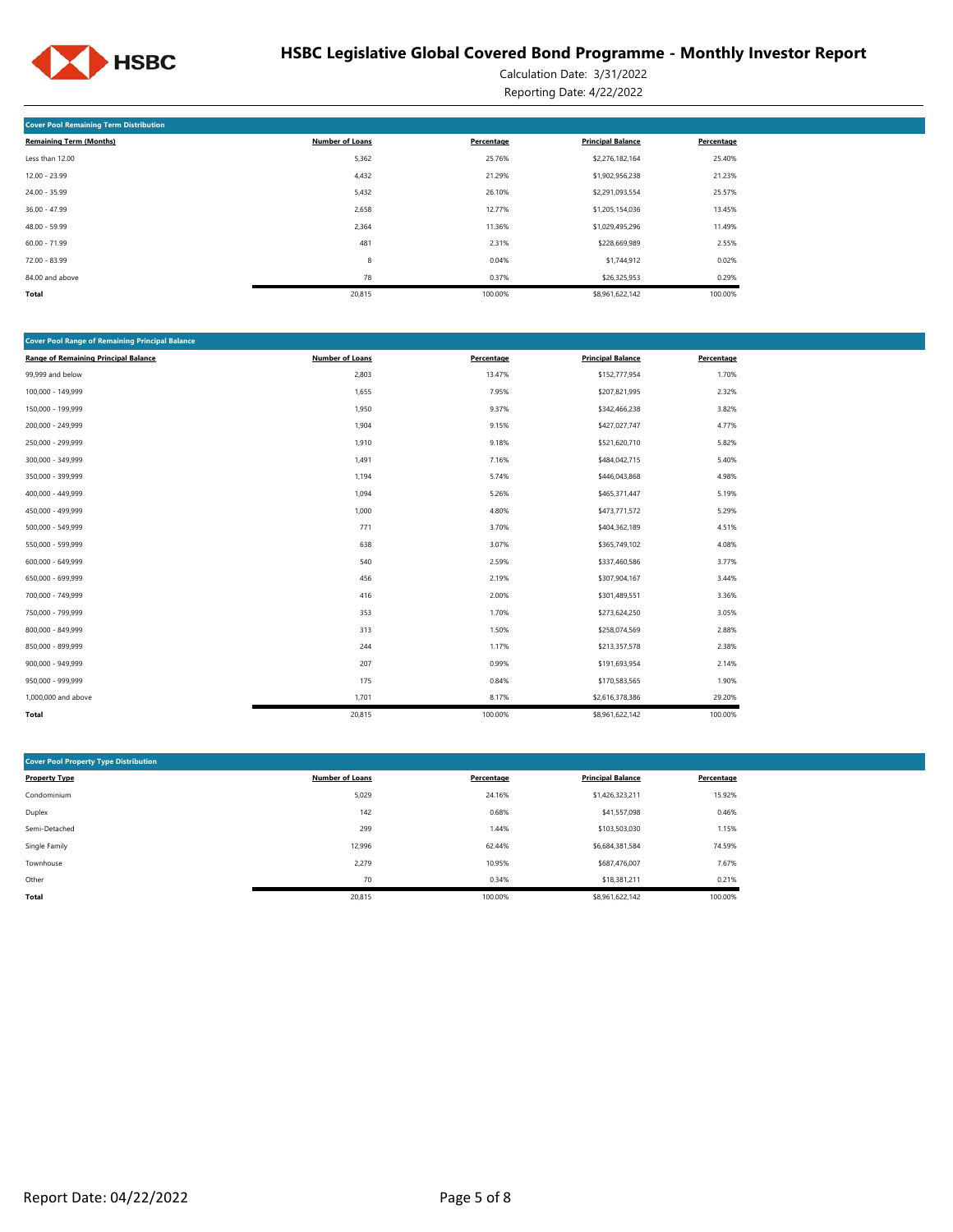

Calculation Date: 3/31/2022 Reporting Date: 4/22/2022

| <b>Cover Pool Remaining Term Distribution</b> |                        |            |                          |            |
|-----------------------------------------------|------------------------|------------|--------------------------|------------|
| <b>Remaining Term (Months)</b>                | <b>Number of Loans</b> | Percentage | <b>Principal Balance</b> | Percentage |
| Less than 12.00                               | 5,362                  | 25.76%     | \$2,276,182,164          | 25.40%     |
| $12.00 - 23.99$                               | 4,432                  | 21.29%     | \$1,902,956,238          | 21.23%     |
| 24.00 - 35.99                                 | 5,432                  | 26.10%     | \$2,291,093,554          | 25.57%     |
| $36.00 - 47.99$                               | 2,658                  | 12.77%     | \$1,205,154,036          | 13.45%     |
| 48.00 - 59.99                                 | 2,364                  | 11.36%     | \$1,029,495,296          | 11.49%     |
| $60.00 - 71.99$                               | 481                    | 2.31%      | \$228,669,989            | 2.55%      |
| $72.00 - 83.99$                               | 8                      | 0.04%      | \$1,744,912              | 0.02%      |
| 84.00 and above                               | 78                     | 0.37%      | \$26,325,953             | 0.29%      |
| Total                                         | 20,815                 | 100.00%    | \$8,961,622,142          | 100.00%    |

| <b>Cover Pool Range of Remaining Principal Balance</b> |                        |            |                          |            |
|--------------------------------------------------------|------------------------|------------|--------------------------|------------|
| <b>Range of Remaining Principal Balance</b>            | <b>Number of Loans</b> | Percentage | <b>Principal Balance</b> | Percentage |
| 99,999 and below                                       | 2,803                  | 13.47%     | \$152,777,954            | 1.70%      |
| 100,000 - 149,999                                      | 1,655                  | 7.95%      | \$207,821,995            | 2.32%      |
| 150,000 - 199,999                                      | 1,950                  | 9.37%      | \$342,466,238            | 3.82%      |
| 200,000 - 249,999                                      | 1,904                  | 9.15%      | \$427,027,747            | 4.77%      |
| 250,000 - 299,999                                      | 1,910                  | 9.18%      | \$521,620,710            | 5.82%      |
| 300,000 - 349,999                                      | 1,491                  | 7.16%      | \$484,042,715            | 5.40%      |
| 350,000 - 399,999                                      | 1,194                  | 5.74%      | \$446,043,868            | 4.98%      |
| 400,000 - 449,999                                      | 1,094                  | 5.26%      | \$465,371,447            | 5.19%      |
| 450,000 - 499,999                                      | 1,000                  | 4.80%      | \$473,771,572            | 5.29%      |
| 500,000 - 549,999                                      | 771                    | 3.70%      | \$404,362,189            | 4.51%      |
| 550,000 - 599,999                                      | 638                    | 3.07%      | \$365,749,102            | 4.08%      |
| 600,000 - 649,999                                      | 540                    | 2.59%      | \$337,460,586            | 3.77%      |
| 650,000 - 699,999                                      | 456                    | 2.19%      | \$307,904,167            | 3.44%      |
| 700,000 - 749,999                                      | 416                    | 2.00%      | \$301,489,551            | 3.36%      |
| 750,000 - 799,999                                      | 353                    | 1.70%      | \$273,624,250            | 3.05%      |
| 800,000 - 849,999                                      | 313                    | 1.50%      | \$258,074,569            | 2.88%      |
| 850,000 - 899,999                                      | 244                    | 1.17%      | \$213,357,578            | 2.38%      |
| 900,000 - 949,999                                      | 207                    | 0.99%      | \$191,693,954            | 2.14%      |
| 950,000 - 999,999                                      | 175                    | 0.84%      | \$170,583,565            | 1.90%      |
| 1,000,000 and above                                    | 1,701                  | 8.17%      | \$2,616,378,386          | 29.20%     |
| Total                                                  | 20,815                 | 100.00%    | \$8,961,622,142          | 100.00%    |

| <b>Cover Pool Property Type Distribution</b> |                        |            |                          |            |
|----------------------------------------------|------------------------|------------|--------------------------|------------|
|                                              |                        |            |                          |            |
| <b>Property Type</b>                         | <b>Number of Loans</b> | Percentage | <b>Principal Balance</b> | Percentage |
| Condominium                                  | 5,029                  | 24.16%     | \$1,426,323,211          | 15.92%     |
| Duplex                                       | 142                    | 0.68%      | \$41,557,098             | 0.46%      |
| Semi-Detached                                | 299                    | 1.44%      | \$103,503,030            | 1.15%      |
| Single Family                                | 12,996                 | 62.44%     | \$6,684,381,584          | 74.59%     |
| Townhouse                                    | 2,279                  | 10.95%     | \$687,476,007            | 7.67%      |
| Other                                        | 70                     | 0.34%      | \$18,381,211             | 0.21%      |
| <b>Total</b>                                 | 20,815                 | 100.00%    | \$8,961,622,142          | 100.00%    |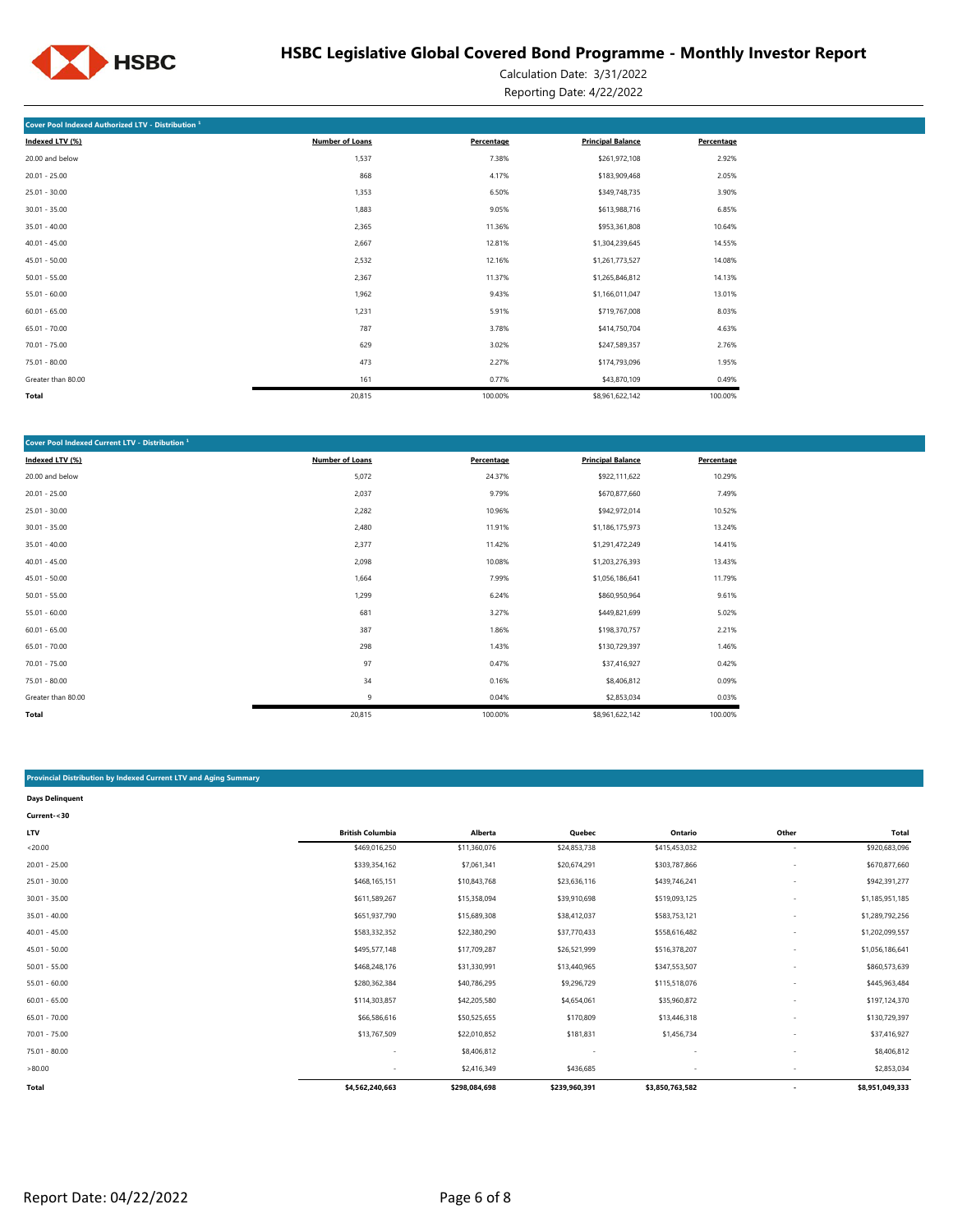

Calculation Date: 3/31/2022 Reporting Date: 4/22/2022

| Cover Pool Indexed Authorized LTV - Distribution 1 |                        |            |                          |            |
|----------------------------------------------------|------------------------|------------|--------------------------|------------|
| Indexed LTV (%)                                    | <b>Number of Loans</b> | Percentage | <b>Principal Balance</b> | Percentage |
| 20.00 and below                                    | 1,537                  | 7.38%      | \$261,972,108            | 2.92%      |
| $20.01 - 25.00$                                    | 868                    | 4.17%      | \$183,909,468            | 2.05%      |
| $25.01 - 30.00$                                    | 1,353                  | 6.50%      | \$349,748,735            | 3.90%      |
| $30.01 - 35.00$                                    | 1,883                  | 9.05%      | \$613,988,716            | 6.85%      |
| $35.01 - 40.00$                                    | 2,365                  | 11.36%     | \$953,361,808            | 10.64%     |
| $40.01 - 45.00$                                    | 2,667                  | 12.81%     | \$1,304,239,645          | 14.55%     |
| $45.01 - 50.00$                                    | 2,532                  | 12.16%     | \$1,261,773,527          | 14.08%     |
| $50.01 - 55.00$                                    | 2,367                  | 11.37%     | \$1,265,846,812          | 14.13%     |
| $55.01 - 60.00$                                    | 1,962                  | 9.43%      | \$1,166,011,047          | 13.01%     |
| $60.01 - 65.00$                                    | 1,231                  | 5.91%      | \$719,767,008            | 8.03%      |
| $65.01 - 70.00$                                    | 787                    | 3.78%      | \$414,750,704            | 4.63%      |
| $70.01 - 75.00$                                    | 629                    | 3.02%      | \$247,589,357            | 2.76%      |
| 75.01 - 80.00                                      | 473                    | 2.27%      | \$174,793,096            | 1.95%      |
| Greater than 80.00                                 | 161                    | 0.77%      | \$43,870,109             | 0.49%      |
| <b>Total</b>                                       | 20,815                 | 100.00%    | \$8,961,622,142          | 100.00%    |

| Cover Pool Indexed Current LTV - Distribution <sup>1</sup> |                 |            |                          |            |
|------------------------------------------------------------|-----------------|------------|--------------------------|------------|
| Indexed LTV (%)                                            | Number of Loans | Percentage | <b>Principal Balance</b> | Percentage |
| 20.00 and below                                            | 5,072           | 24.37%     | \$922,111,622            | 10.29%     |
| $20.01 - 25.00$                                            | 2,037           | 9.79%      | \$670,877,660            | 7.49%      |
| $25.01 - 30.00$                                            | 2,282           | 10.96%     | \$942,972,014            | 10.52%     |
| $30.01 - 35.00$                                            | 2,480           | 11.91%     | \$1,186,175,973          | 13.24%     |
| $35.01 - 40.00$                                            | 2,377           | 11.42%     | \$1,291,472,249          | 14.41%     |
| $40.01 - 45.00$                                            | 2,098           | 10.08%     | \$1,203,276,393          | 13.43%     |
| $45.01 - 50.00$                                            | 1,664           | 7.99%      | \$1,056,186,641          | 11.79%     |
| $50.01 - 55.00$                                            | 1,299           | 6.24%      | \$860,950,964            | 9.61%      |
| $55.01 - 60.00$                                            | 681             | 3.27%      | \$449,821,699            | 5.02%      |
| $60.01 - 65.00$                                            | 387             | 1.86%      | \$198,370,757            | 2.21%      |
| $65.01 - 70.00$                                            | 298             | 1.43%      | \$130,729,397            | 1.46%      |
| $70.01 - 75.00$                                            | 97              | 0.47%      | \$37,416,927             | 0.42%      |
| 75.01 - 80.00                                              | 34              | 0.16%      | \$8,406,812              | 0.09%      |
| Greater than 80.00                                         | 9               | 0.04%      | \$2,853,034              | 0.03%      |
| Total                                                      | 20,815          | 100.00%    | \$8,961,622,142          | 100.00%    |

#### **Provincial Distribution by Indexed Current LTV and Aging Summary**

| <b>Days Delinguent</b> |                          |               |               |                 |                          |                 |
|------------------------|--------------------------|---------------|---------------|-----------------|--------------------------|-----------------|
| Current-<30            |                          |               |               |                 |                          |                 |
| LTV                    | <b>British Columbia</b>  | Alberta       | Quebec        | Ontario         | Other                    | Total           |
| < 20.00                | \$469,016,250            | \$11,360,076  | \$24,853,738  | \$415,453,032   | $\overline{\phantom{a}}$ | \$920,683,096   |
| $20.01 - 25.00$        | \$339,354,162            | \$7,061,341   | \$20,674,291  | \$303,787,866   |                          | \$670,877,660   |
| $25.01 - 30.00$        | \$468,165,151            | \$10,843,768  | \$23,636,116  | \$439,746,241   |                          | \$942,391,277   |
| $30.01 - 35.00$        | \$611,589,267            | \$15,358,094  | \$39,910,698  | \$519,093,125   |                          | \$1,185,951,185 |
| $35.01 - 40.00$        | \$651,937,790            | \$15,689,308  | \$38,412,037  | \$583,753,121   |                          | \$1,289,792,256 |
| $40.01 - 45.00$        | \$583,332,352            | \$22,380,290  | \$37,770,433  | \$558,616,482   |                          | \$1,202,099,557 |
| $45.01 - 50.00$        | \$495,577,148            | \$17,709,287  | \$26,521,999  | \$516,378,207   |                          | \$1,056,186,641 |
| $50.01 - 55.00$        | \$468,248,176            | \$31,330,991  | \$13,440,965  | \$347,553,507   |                          | \$860,573,639   |
| $55.01 - 60.00$        | \$280,362,384            | \$40,786,295  | \$9,296,729   | \$115,518,076   |                          | \$445,963,484   |
| $60.01 - 65.00$        | \$114,303,857            | \$42,205,580  | \$4,654,061   | \$35,960,872    |                          | \$197,124,370   |
| $65.01 - 70.00$        | \$66,586,616             | \$50,525,655  | \$170,809     | \$13,446,318    |                          | \$130,729,397   |
| $70.01 - 75.00$        | \$13,767,509             | \$22,010,852  | \$181,831     | \$1,456,734     |                          | \$37,416,927    |
| 75.01 - 80.00          | ٠                        | \$8,406,812   | ٠             | ٠               |                          | \$8,406,812     |
| >80.00                 | $\overline{\phantom{a}}$ | \$2,416,349   | \$436,685     |                 |                          | \$2,853,034     |
| Total                  | \$4,562,240,663          | \$298,084,698 | \$239,960,391 | \$3,850,763,582 |                          | \$8,951,049,333 |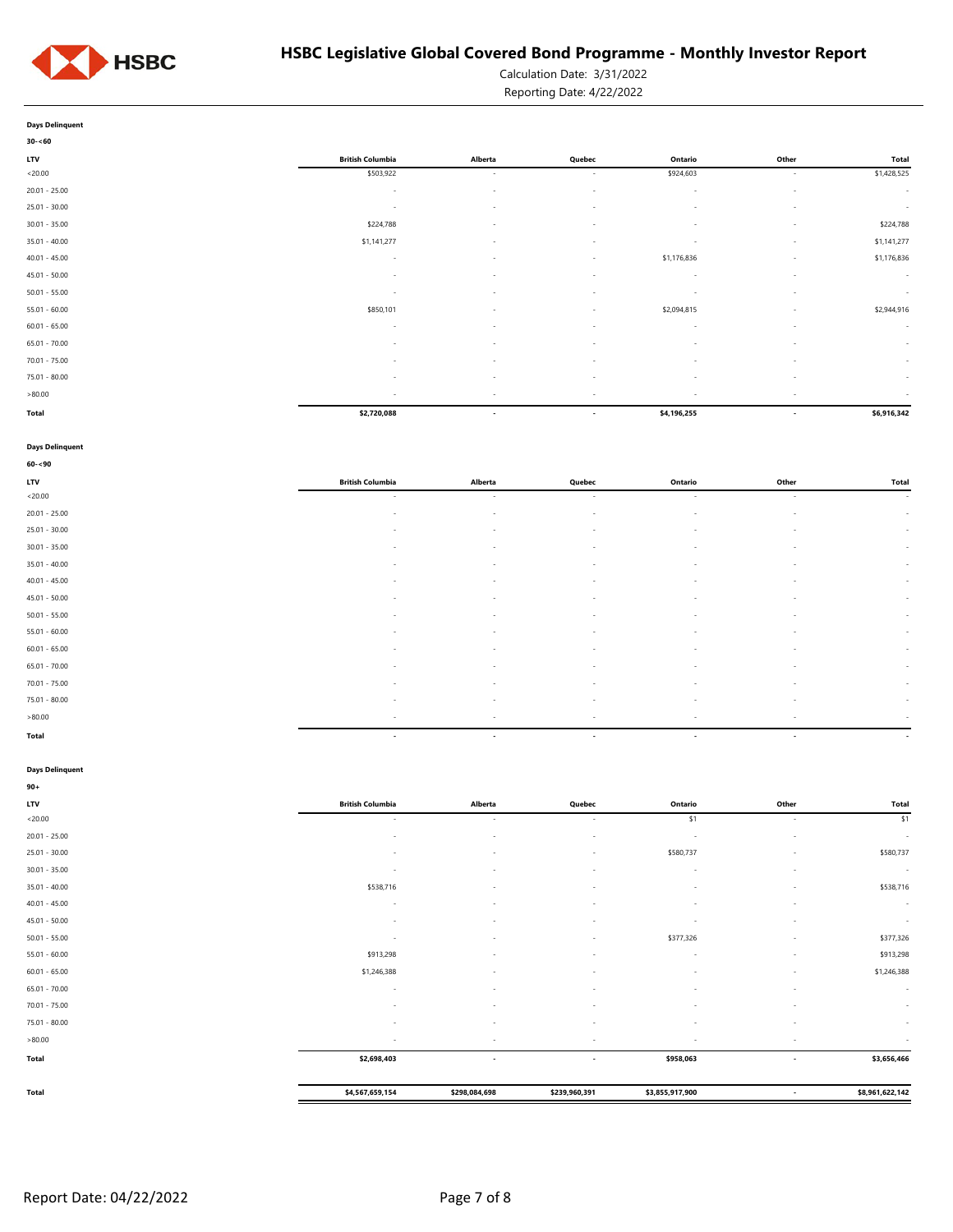

Calculation Date: 3/31/2022

Reporting Date: 4/22/2022

| <b>Days Delinguent</b> |  |
|------------------------|--|

| $30 - 60$       |                         |                          |                          |                          |                          |              |
|-----------------|-------------------------|--------------------------|--------------------------|--------------------------|--------------------------|--------------|
| <b>LTV</b>      | <b>British Columbia</b> | Alberta                  | Quebec                   | Ontario                  | Other                    | <b>Total</b> |
| < 20.00         | \$503,922               | $\overline{\phantom{a}}$ | $\sim$                   | \$924,603                | $\sim$                   | \$1,428,525  |
| $20.01 - 25.00$ | $\sim$                  | $\sim$                   | $\sim$                   | $\sim$                   | $\sim$                   | $\sim$       |
| $25.01 - 30.00$ | $\sim$                  | $\overline{\phantom{a}}$ | $\sim$                   | $\sim$                   | $\sim$                   | $\sim$       |
| $30.01 - 35.00$ | \$224,788               | $\overline{\phantom{a}}$ | $\sim$                   | $\sim$                   | $\sim$                   | \$224,788    |
| $35.01 - 40.00$ | \$1,141,277             | $\overline{\phantom{a}}$ | $\sim$                   | $\overline{\phantom{a}}$ | $\sim$                   | \$1,141,277  |
| $40.01 - 45.00$ | $\sim$                  | $\overline{\phantom{a}}$ | $\sim$                   | \$1,176,836              | $\sim$                   | \$1,176,836  |
| $45.01 - 50.00$ | $\sim$                  | $\overline{\phantom{a}}$ | $\sim$                   | $\sim$                   | $\sim$                   | $\sim$       |
| $50.01 - 55.00$ | $\sim$                  | $\overline{\phantom{a}}$ | $\overline{\phantom{a}}$ | $\overline{\phantom{a}}$ | $\sim$                   | $\sim$       |
| $55.01 - 60.00$ | \$850,101               | $\overline{\phantom{a}}$ | $\sim$                   | \$2,094,815              | $\sim$                   | \$2,944,916  |
| $60.01 - 65.00$ | $\sim$                  | $\overline{\phantom{a}}$ | $\overline{\phantom{a}}$ | $\sim$                   | $\sim$                   | $\sim$       |
| $65.01 - 70.00$ | $\sim$                  | $\overline{\phantom{a}}$ | $\sim$                   | $\sim$                   | $\sim$                   | $\sim$       |
| $70.01 - 75.00$ |                         | $\sim$                   | $\overline{\phantom{a}}$ | $\sim$                   | $\sim$                   | $\sim$       |
| $75.01 - 80.00$ | $\sim$                  | $\sim$                   | $\sim$                   | $\sim$                   | $\sim$                   | $\sim$       |
| >80.00          | $\sim$                  | $\overline{\phantom{a}}$ | $\overline{\phantom{a}}$ | $\overline{\phantom{a}}$ | $\sim$                   | $\sim$       |
| Total           | \$2,720,088             | $\overline{\phantom{a}}$ | $\overline{\phantom{a}}$ | \$4,196,255              | $\overline{\phantom{a}}$ | \$6,916,342  |

#### **Days Delinquent**

| $60 - 90$       |                          |                          |        |         |                          |              |
|-----------------|--------------------------|--------------------------|--------|---------|--------------------------|--------------|
| LTV             | <b>British Columbia</b>  | Alberta                  | Quebec | Ontario | Other                    | <b>Total</b> |
| < 20.00         | $\sim$                   | $\sim$                   | $\sim$ | $\sim$  | $\overline{\phantom{a}}$ | $\sim$       |
| $20.01 - 25.00$ | $\sim$                   | $\sim$                   | $\sim$ | $\sim$  | $\sim$                   | $\sim 100$   |
| $25.01 - 30.00$ | $\overline{\phantom{a}}$ | $\overline{\phantom{a}}$ | $\sim$ |         | $\overline{\phantom{a}}$ | $\sim$       |
| $30.01 - 35.00$ | $\sim$                   | $\sim$                   | $\sim$ | $\sim$  | $\overline{\phantom{a}}$ | $\sim$       |
| $35.01 - 40.00$ | $\sim$                   | $\sim$                   | $\sim$ | $\sim$  | $\overline{\phantom{a}}$ | $\sim$       |
| $40.01 - 45.00$ | $\sim$                   | $\overline{\phantom{a}}$ | $\sim$ | $\sim$  | $\sim$                   | $\sim$       |
| $45.01 - 50.00$ | $\overline{\phantom{a}}$ | $\overline{\phantom{a}}$ | $\sim$ | $\sim$  | $\overline{\phantom{a}}$ | $\sim$       |
| $50.01 - 55.00$ | $\sim$                   | $\sim$                   | $\sim$ | $\sim$  | $\overline{\phantom{a}}$ | $\sim$       |
| $55.01 - 60.00$ | $\sim$                   | $\overline{\phantom{a}}$ | $\sim$ | $\sim$  | $\sim$                   | $\sim$       |
| $60.01 - 65.00$ | $\sim$                   | $\overline{\phantom{a}}$ | $\sim$ | $\sim$  | $\sim$                   | $\sim$       |
| $65.01 - 70.00$ | $\sim$                   | $\overline{\phantom{a}}$ | $\sim$ | $\sim$  | $\sim$                   | $\sim$       |
| $70.01 - 75.00$ | $\overline{\phantom{a}}$ | ٠                        | $\sim$ |         | $\overline{\phantom{a}}$ | $\sim$       |
| 75.01 - 80.00   | $\sim$                   | $\sim$                   | $\sim$ | $\sim$  | $\sim$                   | $\sim$       |
| >80.00          | $\sim$                   | $\sim$                   | $\sim$ | $\sim$  | $\sim$                   | $\sim$       |
| Total           | $\sim$                   | $\overline{\phantom{a}}$ | $\sim$ | $\sim$  | $\sim$                   | $\sim$       |

#### **Days Delinquent**

| $90 +$          |                          |                          |                          |                 |                          |                 |
|-----------------|--------------------------|--------------------------|--------------------------|-----------------|--------------------------|-----------------|
| LTV             | <b>British Columbia</b>  | Alberta                  | Quebec                   | Ontario         | Other                    | Total           |
| < 20.00         | $\sim$                   | $\sim$                   | $\sim$                   | \$1             | ٠                        | \$1             |
| $20.01 - 25.00$ | ٠                        | $\sim$                   | $\overline{\phantom{a}}$ | $\sim$          | $\overline{\phantom{a}}$ | $\sim$          |
| $25.01 - 30.00$ | ٠                        | $\sim$                   | $\overline{\phantom{a}}$ | \$580,737       | $\overline{\phantom{a}}$ | \$580,737       |
| $30.01 - 35.00$ | ٠                        | $\overline{\phantom{a}}$ | $\overline{\phantom{a}}$ | $\sim$          | $\overline{\phantom{a}}$ | $\sim$          |
| $35.01 - 40.00$ | \$538,716                | $\sim$                   | $\overline{\phantom{a}}$ | s.              | $\overline{\phantom{a}}$ | \$538,716       |
| $40.01 - 45.00$ | ٠                        | $\sim$                   | ٠                        | и.              | $\overline{\phantom{a}}$ | $\sim$          |
| $45.01 - 50.00$ | ٠                        |                          | $\overline{\phantom{a}}$ | $\sim$          | $\overline{\phantom{a}}$ | $\sim$          |
| $50.01 - 55.00$ | ٠                        | $\sim$                   | $\overline{\phantom{a}}$ | \$377,326       | $\overline{\phantom{a}}$ | \$377,326       |
| $55.01 - 60.00$ | \$913,298                | $\sim$                   | $\sim$                   | . п.            | $\overline{\phantom{a}}$ | \$913,298       |
| $60.01 - 65.00$ | \$1,246,388              | $\sim$                   | $\overline{\phantom{a}}$ | $\sim$          | $\overline{\phantom{a}}$ | \$1,246,388     |
| $65.01 - 70.00$ | ٠                        | $\sim$                   | $\overline{\phantom{a}}$ | $\sim$          | $\overline{\phantom{a}}$ | $\sim$          |
| 70.01 - 75.00   | ٠                        |                          | $\overline{\phantom{a}}$ |                 | $\overline{\phantom{a}}$ | $\sim$          |
| 75.01 - 80.00   | ٠                        | $\sim$                   | $\sim$                   | $\sim$          | $\overline{\phantom{a}}$ | $\sim$          |
| >80.00          | $\overline{\phantom{a}}$ | $\sim$                   | $\sim$                   | $\sim$          | $\overline{\phantom{a}}$ | $\sim$          |
| <b>Total</b>    | \$2,698,403              | $\overline{\phantom{a}}$ | $\overline{\phantom{a}}$ | \$958,063       | $\overline{\phantom{a}}$ | \$3,656,466     |
|                 |                          |                          |                          |                 |                          |                 |
| Total           | \$4,567,659,154          | \$298,084,698            | \$239,960,391            | \$3,855,917,900 | $\overline{\phantom{a}}$ | \$8,961,622,142 |